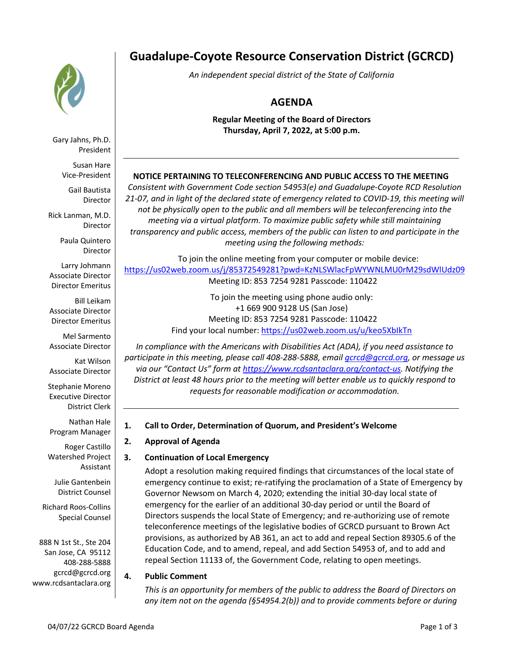

Gary Jahns, Ph.D. President

Susan Hare Vice-President

Gail Bautista Director

Rick Lanman, M.D. Director

> Paula Quintero Director

Larry Johmann Associate Director Director Emeritus

Bill Leikam Associate Director Director Emeritus

Mel Sarmento Associate Director

Kat Wilson Associate Director

Stephanie Moreno Executive Director District Clerk

Nathan Hale Program Manager

Roger Castillo Watershed Project Assistant

Julie Gantenbein District Counsel

Richard Roos-Collins Special Counsel

888 N 1st St., Ste 204 San Jose, CA 95112 408-288-5888 gcrcd@gcrcd.org www.rcdsantaclara.org

# **Guadalupe-Coyote Resource Conservation District (GCRCD)**

*An independent special district of the State of California*

# **AGENDA**

**Regular Meeting of the Board of Directors Thursday, April 7, 2022, at 5:00 p.m.**

# **NOTICE PERTAINING TO TELECONFERENCING AND PUBLIC ACCESS TO THE MEETING**

*Consistent with Government Code section 54953(e) and Guadalupe-Coyote RCD Resolution 21-07, and in light of the declared state of emergency related to COVID-19, this meeting will not be physically open to the public and all members will be teleconferencing into the meeting via a virtual platform. To maximize public safety while still maintaining transparency and public access, members of the public can listen to and participate in the meeting using the following methods:* 

To join the online meeting from your computer or mobile device: https://us02web.zoom.us/j/85372549281?pwd=KzNLSWlacFpWYWNLMU0rM29sdWlUdz09 Meeting ID: 853 7254 9281 Passcode: 110422

> To join the meeting using phone audio only: +1 669 900 9128 US (San Jose) Meeting ID: 853 7254 9281 Passcode: 110422 Find your local number: https://us02web.zoom.us/u/keo5XbIkTn

*In compliance with the Americans with Disabilities Act (ADA), if you need assistance to participate in this meeting, please call 408-288-5888, email gcrcd@gcrcd.org, or message us via our "Contact Us" form at https://www.rcdsantaclara.org/contact-us. Notifying the District at least 48 hours prior to the meeting will better enable us to quickly respond to requests for reasonable modification or accommodation.*

# **1. Call to Order, Determination of Quorum, and President's Welcome**

# **2. Approval of Agenda**

# **3. Continuation of Local Emergency**

Adopt a resolution making required findings that circumstances of the local state of emergency continue to exist; re-ratifying the proclamation of a State of Emergency by Governor Newsom on March 4, 2020; extending the initial 30-day local state of emergency for the earlier of an additional 30-day period or until the Board of Directors suspends the local State of Emergency; and re-authorizing use of remote teleconference meetings of the legislative bodies of GCRCD pursuant to Brown Act provisions, as authorized by AB 361, an act to add and repeal Section 89305.6 of the Education Code, and to amend, repeal, and add Section 54953 of, and to add and repeal Section 11133 of, the Government Code, relating to open meetings.

# **4. Public Comment**

*This is an opportunity for members of the public to address the Board of Directors on any item not on the agenda (§54954.2(b)) and to provide comments before or during*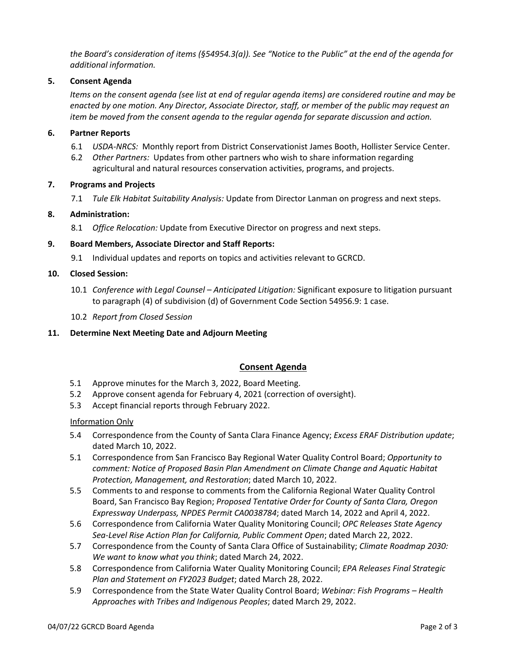*the Board's consideration of items (§54954.3(a)). See "Notice to the Public" at the end of the agenda for additional information.*

#### **5. Consent Agenda**

*Items on the consent agenda (see list at end of regular agenda items) are considered routine and may be enacted by one motion. Any Director, Associate Director, staff, or member of the public may request an item be moved from the consent agenda to the regular agenda for separate discussion and action.*

#### **6. Partner Reports**

- 6.1 *USDA-NRCS:* Monthly report from District Conservationist James Booth, Hollister Service Center.
- 6.2 *Other Partners:* Updates from other partners who wish to share information regarding agricultural and natural resources conservation activities, programs, and projects.

#### **7. Programs and Projects**

7.1 *Tule Elk Habitat Suitability Analysis:* Update from Director Lanman on progress and next steps.

#### **8. Administration:**

8.1 *Office Relocation:* Update from Executive Director on progress and next steps.

#### **9. Board Members, Associate Director and Staff Reports:**

9.1 Individual updates and reports on topics and activities relevant to GCRCD.

#### **10. Closed Session:**

- 10.1 *Conference with Legal Counsel – Anticipated Litigation:* Significant exposure to litigation pursuant to paragraph (4) of subdivision (d) of Government Code Section 54956.9: 1 case.
- 10.2 *Report from Closed Session*

# **11. Determine Next Meeting Date and Adjourn Meeting**

# **Consent Agenda**

- 5.1 Approve minutes for the March 3, 2022, Board Meeting.
- 5.2 Approve consent agenda for February 4, 2021 (correction of oversight).
- 5.3 Accept financial reports through February 2022.

#### Information Only

- 5.4 Correspondence from the County of Santa Clara Finance Agency; *Excess ERAF Distribution update*; dated March 10, 2022.
- 5.1 Correspondence from San Francisco Bay Regional Water Quality Control Board; *Opportunity to comment: Notice of Proposed Basin Plan Amendment on Climate Change and Aquatic Habitat Protection, Management, and Restoration*; dated March 10, 2022.
- 5.5 Comments to and response to comments from the California Regional Water Quality Control Board, San Francisco Bay Region; *Proposed Tentative Order for County of Santa Clara, Oregon Expressway Underpass, NPDES Permit CA0038784*; dated March 14, 2022 and April 4, 2022.
- 5.6 Correspondence from California Water Quality Monitoring Council; *OPC Releases State Agency Sea-Level Rise Action Plan for California, Public Comment Open*; dated March 22, 2022.
- 5.7 Correspondence from the County of Santa Clara Office of Sustainability; *Climate Roadmap 2030: We want to know what you think*; dated March 24, 2022.
- 5.8 Correspondence from California Water Quality Monitoring Council; *EPA Releases Final Strategic Plan and Statement on FY2023 Budget*; dated March 28, 2022.
- 5.9 Correspondence from the State Water Quality Control Board; *Webinar: Fish Programs – Health Approaches with Tribes and Indigenous Peoples*; dated March 29, 2022.